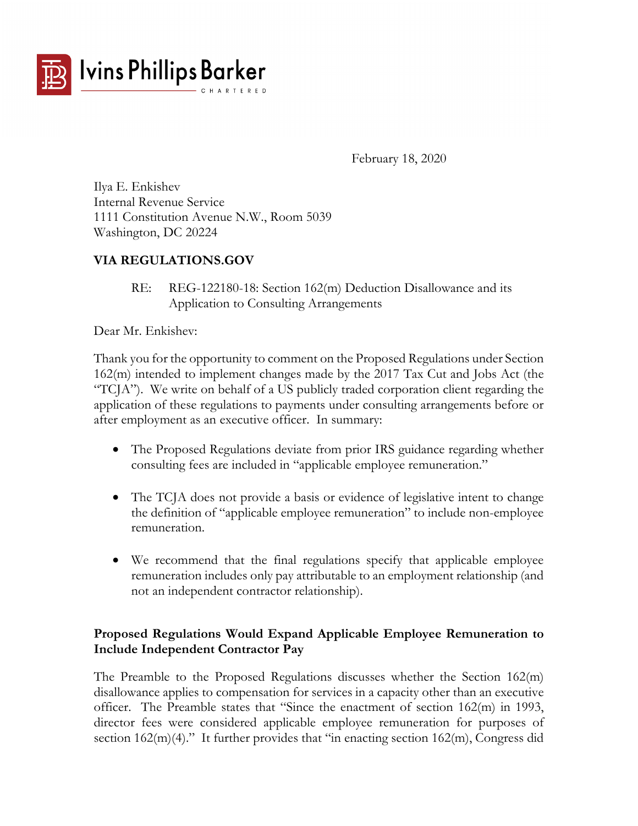

February 18, 2020

Ilya E. Enkishev Internal Revenue Service 1111 Constitution Avenue N.W., Room 5039 Washington, DC 20224

### **VIA REGULATIONS.GOV**

RE: REG-122180-18: Section 162(m) Deduction Disallowance and its Application to Consulting Arrangements

Dear Mr. Enkishev:

Thank you for the opportunity to comment on the Proposed Regulations under Section 162(m) intended to implement changes made by the 2017 Tax Cut and Jobs Act (the " $TC[A$ "). We write on behalf of a US publicly traded corporation client regarding the application of these regulations to payments under consulting arrangements before or after employment as an executive officer. In summary:

- The Proposed Regulations deviate from prior IRS guidance regarding whether consulting fees are included in "applicable employee remuneration."
- The TCJA does not provide a basis or evidence of legislative intent to change the definition of "applicable employee remuneration" to include non-employee remuneration.
- We recommend that the final regulations specify that applicable employee remuneration includes only pay attributable to an employment relationship (and not an independent contractor relationship).

### **Proposed Regulations Would Expand Applicable Employee Remuneration to Include Independent Contractor Pay**

The Preamble to the Proposed Regulations discusses whether the Section 162(m) disallowance applies to compensation for services in a capacity other than an executive officer. The Preamble states that "Since the enactment of section 162(m) in 1993, director fees were considered applicable employee remuneration for purposes of section 162(m)(4)." It further provides that "in enacting section 162(m), Congress did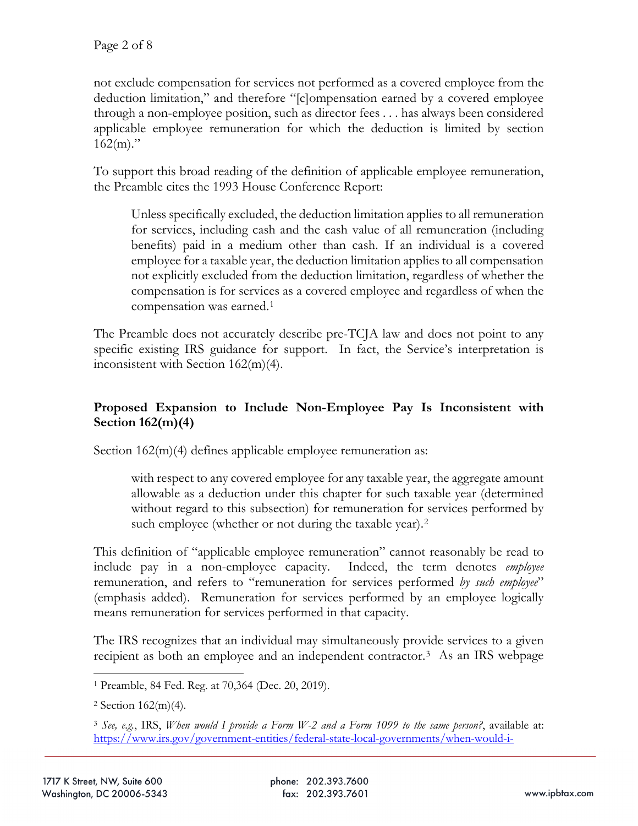not exclude compensation for services not performed as a covered employee from the deduction limitation," and therefore "[c]ompensation earned by a covered employee through a non-employee position, such as director fees . . . has always been considered applicable employee remuneration for which the deduction is limited by section  $162(m)$ ."

To support this broad reading of the definition of applicable employee remuneration, the Preamble cites the 1993 House Conference Report:

Unless specifically excluded, the deduction limitation applies to all remuneration for services, including cash and the cash value of all remuneration (including benefits) paid in a medium other than cash. If an individual is a covered employee for a taxable year, the deduction limitation applies to all compensation not explicitly excluded from the deduction limitation, regardless of whether the compensation is for services as a covered employee and regardless of when the compensation was earned.[1](#page-1-0)

The Preamble does not accurately describe pre-TCJA law and does not point to any specific existing IRS guidance for support. In fact, the Service's interpretation is inconsistent with Section 162(m)(4).

# **Proposed Expansion to Include Non-Employee Pay Is Inconsistent with Section 162(m)(4)**

Section 162(m)(4) defines applicable employee remuneration as:

with respect to any covered employee for any taxable year, the aggregate amount allowable as a deduction under this chapter for such taxable year (determined without regard to this subsection) for remuneration for services performed by such employee (whether or not during the taxable year).<sup>[2](#page-1-1)</sup>

This definition of "applicable employee remuneration" cannot reasonably be read to include pay in a non-employee capacity. Indeed, the term denotes *employee* remuneration, and refers to "remuneration for services performed *by such employee*" (emphasis added). Remuneration for services performed by an employee logically means remuneration for services performed in that capacity.

The IRS recognizes that an individual may simultaneously provide services to a given recipient as both an employee and an independent contractor.[3](#page-1-2) As an IRS webpage

<span id="page-1-0"></span><sup>1</sup> Preamble, 84 Fed. Reg. at 70,364 (Dec. 20, 2019).

<span id="page-1-1"></span> $2$  Section 162(m)(4).

<span id="page-1-2"></span><sup>3</sup> *See, e.g.*, IRS, *When would I provide a Form W-2 and a Form 1099 to the same person?*, available at: [https://www.irs.gov/government-entities/federal-state-local-governments/when-would-i-](https://www.irs.gov/government-entities/federal-state-local-governments/when-would-i-provide-a-form-w-2-and-a-form-1099-to-the-same-person)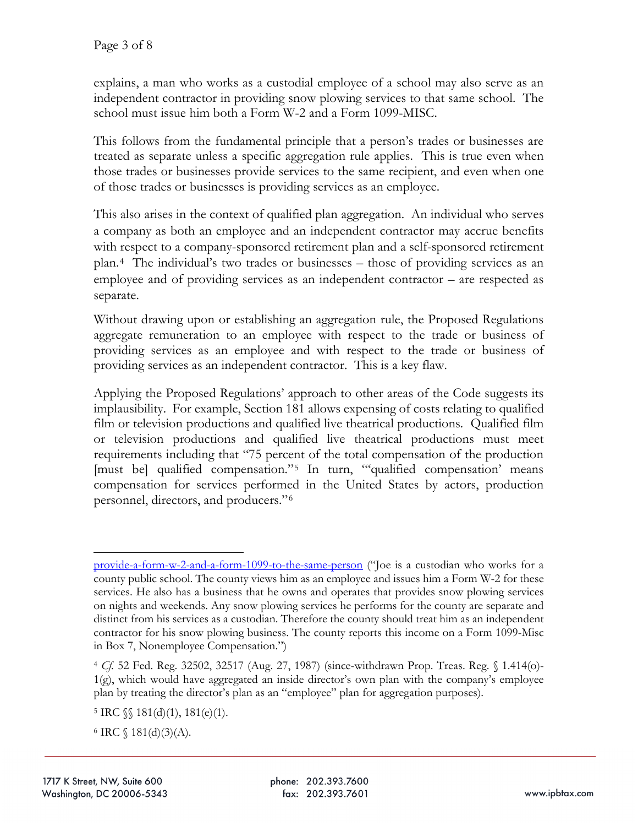explains, a man who works as a custodial employee of a school may also serve as an independent contractor in providing snow plowing services to that same school. The school must issue him both a Form W-2 and a Form 1099-MISC.

This follows from the fundamental principle that a person's trades or businesses are treated as separate unless a specific aggregation rule applies. This is true even when those trades or businesses provide services to the same recipient, and even when one of those trades or businesses is providing services as an employee.

This also arises in the context of qualified plan aggregation. An individual who serves a company as both an employee and an independent contractor may accrue benefits with respect to a company-sponsored retirement plan and a self-sponsored retirement plan.[4](#page-2-0) The individual's two trades or businesses – those of providing services as an employee and of providing services as an independent contractor – are respected as separate.

Without drawing upon or establishing an aggregation rule, the Proposed Regulations aggregate remuneration to an employee with respect to the trade or business of providing services as an employee and with respect to the trade or business of providing services as an independent contractor. This is a key flaw.

Applying the Proposed Regulations' approach to other areas of the Code suggests its implausibility. For example, Section 181 allows expensing of costs relating to qualified film or television productions and qualified live theatrical productions. Qualified film or television productions and qualified live theatrical productions must meet requirements including that "75 percent of the total compensation of the production [must be] qualified compensation."[5](#page-2-1) In turn, "'qualified compensation' means compensation for services performed in the United States by actors, production personnel, directors, and producers."[6](#page-2-2)

<span id="page-2-2"></span> $6$  IRC  $\{$  181(d)(3)(A).

[provide-a-form-w-2-and-a-form-1099-to-the-same-person](https://www.irs.gov/government-entities/federal-state-local-governments/when-would-i-provide-a-form-w-2-and-a-form-1099-to-the-same-person) ("Joe is a custodian who works for a county public school. The county views him as an employee and issues him a Form W-2 for these services. He also has a business that he owns and operates that provides snow plowing services on nights and weekends. Any snow plowing services he performs for the county are separate and distinct from his services as a custodian. Therefore the county should treat him as an independent contractor for his snow plowing business. The county reports this income on a Form 1099-Misc in Box 7, Nonemployee Compensation.")

<span id="page-2-0"></span><sup>4</sup> *Cf.* 52 Fed. Reg. 32502, 32517 (Aug. 27, 1987) (since-withdrawn Prop. Treas. Reg. § 1.414(o)- 1(g), which would have aggregated an inside director's own plan with the company's employee plan by treating the director's plan as an "employee" plan for aggregation purposes).

<span id="page-2-1"></span> $5 \text{ IRC } \S \text{ 181(d)(1), } 181(e)(1).$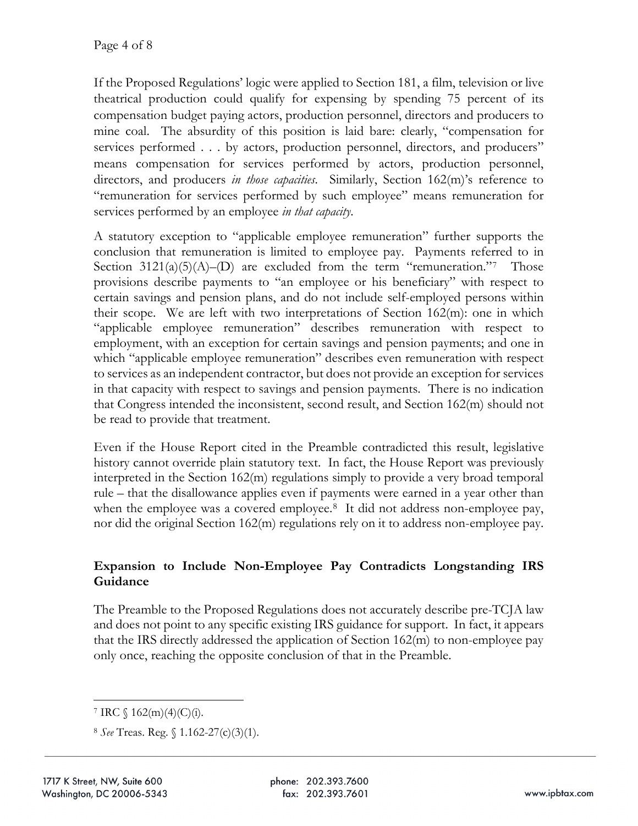If the Proposed Regulations' logic were applied to Section 181, a film, television or live theatrical production could qualify for expensing by spending 75 percent of its compensation budget paying actors, production personnel, directors and producers to mine coal. The absurdity of this position is laid bare: clearly, "compensation for services performed . . . by actors, production personnel, directors, and producers" means compensation for services performed by actors, production personnel, directors, and producers *in those capacities*. Similarly, Section 162(m)'s reference to "remuneration for services performed by such employee" means remuneration for services performed by an employee *in that capacity*.

A statutory exception to "applicable employee remuneration" further supports the conclusion that remuneration is limited to employee pay. Payments referred to in Section  $3121(a)(5)(A)$ –(D) are excluded from the term "remuneration."[7](#page-3-0) Those provisions describe payments to "an employee or his beneficiary" with respect to certain savings and pension plans, and do not include self-employed persons within their scope. We are left with two interpretations of Section 162(m): one in which "applicable employee remuneration" describes remuneration with respect to employment, with an exception for certain savings and pension payments; and one in which "applicable employee remuneration" describes even remuneration with respect to services as an independent contractor, but does not provide an exception for services in that capacity with respect to savings and pension payments. There is no indication that Congress intended the inconsistent, second result, and Section 162(m) should not be read to provide that treatment.

Even if the House Report cited in the Preamble contradicted this result, legislative history cannot override plain statutory text. In fact, the House Report was previously interpreted in the Section 162(m) regulations simply to provide a very broad temporal rule – that the disallowance applies even if payments were earned in a year other than when the employee was a covered employee.<sup>8</sup> It did not address non-employee pay, nor did the original Section 162(m) regulations rely on it to address non-employee pay.

# **Expansion to Include Non-Employee Pay Contradicts Longstanding IRS Guidance**

The Preamble to the Proposed Regulations does not accurately describe pre-TCJA law and does not point to any specific existing IRS guidance for support. In fact, it appears that the IRS directly addressed the application of Section 162(m) to non-employee pay only once, reaching the opposite conclusion of that in the Preamble.

<span id="page-3-0"></span><sup>7</sup> IRC  $\sqrt{(162(m)(4)(C)(i)}$ .

<span id="page-3-1"></span><sup>8</sup> *See* Treas. Reg. § 1.162-27(c)(3)(1).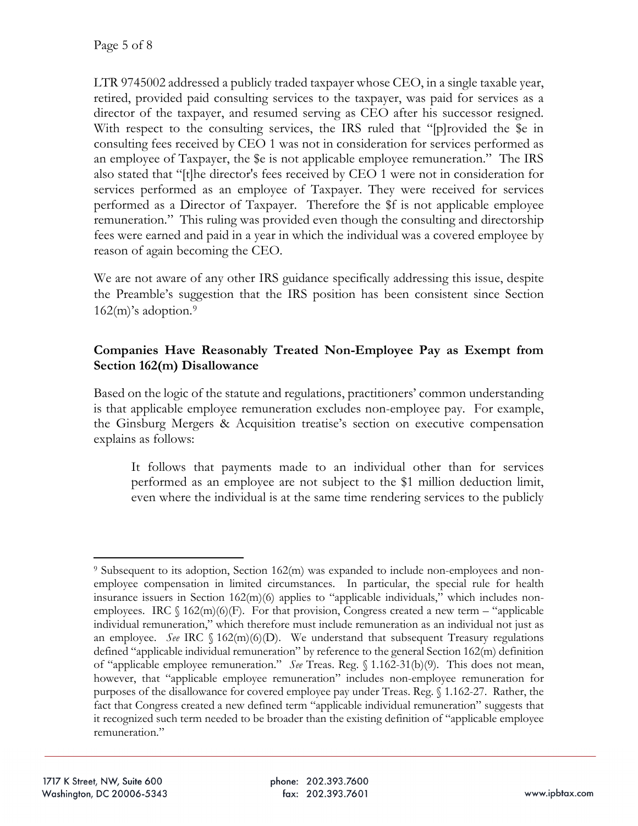LTR 9745002 addressed a publicly traded taxpayer whose CEO, in a single taxable year, retired, provided paid consulting services to the taxpayer, was paid for services as a director of the taxpayer, and resumed serving as CEO after his successor resigned. With respect to the consulting services, the IRS ruled that "[p]rovided the \$e in consulting fees received by CEO 1 was not in consideration for services performed as an employee of Taxpayer, the \$e is not applicable employee remuneration." The IRS also stated that "[t]he director's fees received by CEO 1 were not in consideration for services performed as an employee of Taxpayer. They were received for services performed as a Director of Taxpayer. Therefore the \$f is not applicable employee remuneration." This ruling was provided even though the consulting and directorship fees were earned and paid in a year in which the individual was a covered employee by reason of again becoming the CEO.

We are not aware of any other IRS guidance specifically addressing this issue, despite the Preamble's suggestion that the IRS position has been consistent since Section  $162(m)$ 's adoption.<sup>[9](#page-4-0)</sup>

## **Companies Have Reasonably Treated Non-Employee Pay as Exempt from Section 162(m) Disallowance**

Based on the logic of the statute and regulations, practitioners' common understanding is that applicable employee remuneration excludes non-employee pay. For example, the Ginsburg Mergers & Acquisition treatise's section on executive compensation explains as follows:

It follows that payments made to an individual other than for services performed as an employee are not subject to the \$1 million deduction limit, even where the individual is at the same time rendering services to the publicly

<span id="page-4-0"></span><sup>9</sup> Subsequent to its adoption, Section 162(m) was expanded to include non-employees and nonemployee compensation in limited circumstances. In particular, the special rule for health insurance issuers in Section  $162(m)(6)$  applies to "applicable individuals," which includes nonemployees. IRC  $\int$  162(m)(6)(F). For that provision, Congress created a new term – "applicable individual remuneration," which therefore must include remuneration as an individual not just as an employee. *See* IRC  $\setminus$  162(m)(6)(D). We understand that subsequent Treasury regulations defined "applicable individual remuneration" by reference to the general Section 162(m) definition of "applicable employee remuneration." *See* Treas. Reg. § 1.162-31(b)(9). This does not mean, however, that "applicable employee remuneration" includes non-employee remuneration for purposes of the disallowance for covered employee pay under Treas. Reg. § 1.162-27. Rather, the fact that Congress created a new defined term "applicable individual remuneration" suggests that it recognized such term needed to be broader than the existing definition of "applicable employee remuneration."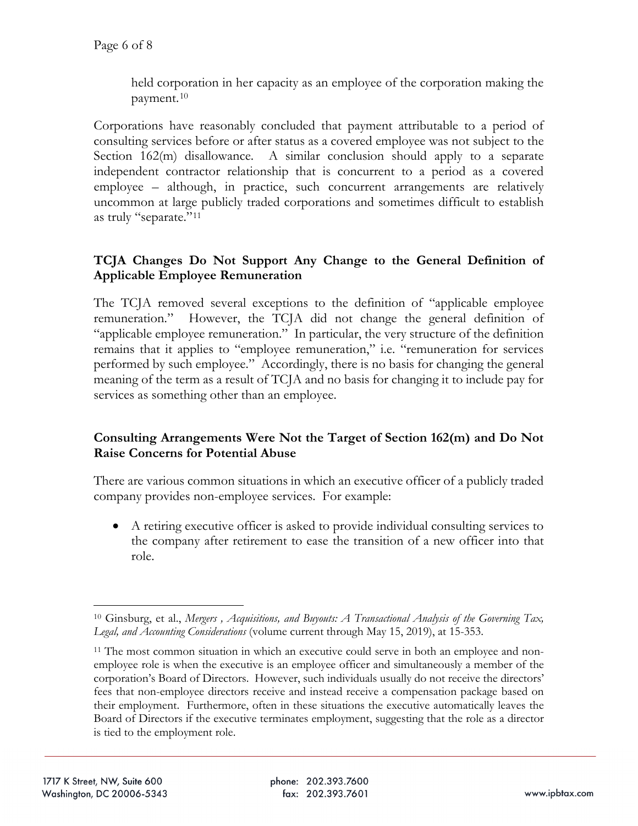held corporation in her capacity as an employee of the corporation making the payment.[10](#page-5-0)

Corporations have reasonably concluded that payment attributable to a period of consulting services before or after status as a covered employee was not subject to the Section 162(m) disallowance. A similar conclusion should apply to a separate independent contractor relationship that is concurrent to a period as a covered employee – although, in practice, such concurrent arrangements are relatively uncommon at large publicly traded corporations and sometimes difficult to establish as truly "separate."[11](#page-5-1)

# **TCJA Changes Do Not Support Any Change to the General Definition of Applicable Employee Remuneration**

The TCJA removed several exceptions to the definition of "applicable employee remuneration." However, the TCJA did not change the general definition of "applicable employee remuneration." In particular, the very structure of the definition remains that it applies to "employee remuneration," i.e. "remuneration for services performed by such employee." Accordingly, there is no basis for changing the general meaning of the term as a result of TCJA and no basis for changing it to include pay for services as something other than an employee.

## **Consulting Arrangements Were Not the Target of Section 162(m) and Do Not Raise Concerns for Potential Abuse**

There are various common situations in which an executive officer of a publicly traded company provides non-employee services. For example:

• A retiring executive officer is asked to provide individual consulting services to the company after retirement to ease the transition of a new officer into that role.

<span id="page-5-0"></span><sup>10</sup> Ginsburg, et al., *Mergers , Acquisitions, and Buyouts: A Transactional Analysis of the Governing Tax, Legal, and Accounting Considerations* (volume current through May 15, 2019), at 15-353.

<span id="page-5-1"></span><sup>11</sup> The most common situation in which an executive could serve in both an employee and nonemployee role is when the executive is an employee officer and simultaneously a member of the corporation's Board of Directors. However, such individuals usually do not receive the directors' fees that non-employee directors receive and instead receive a compensation package based on their employment. Furthermore, often in these situations the executive automatically leaves the Board of Directors if the executive terminates employment, suggesting that the role as a director is tied to the employment role.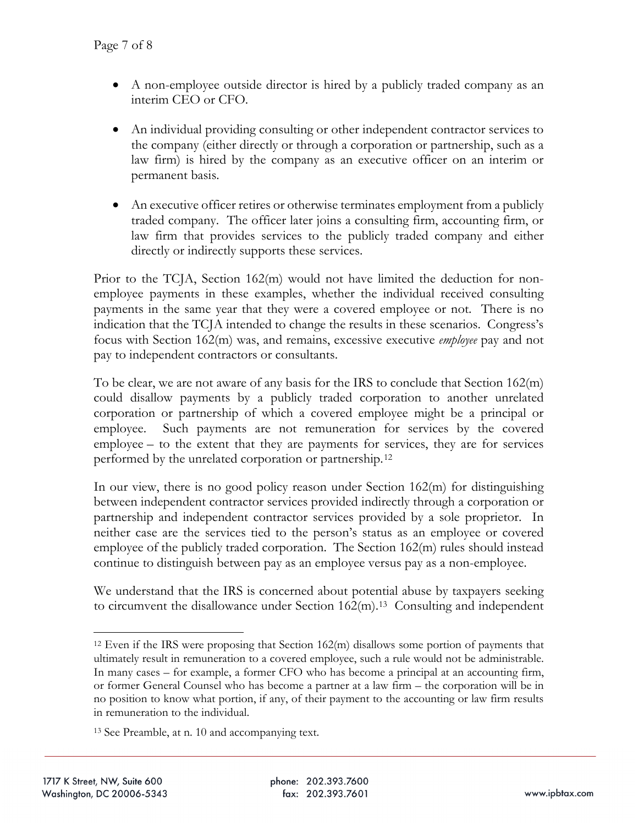- A non-employee outside director is hired by a publicly traded company as an interim CEO or CFO.
- An individual providing consulting or other independent contractor services to the company (either directly or through a corporation or partnership, such as a law firm) is hired by the company as an executive officer on an interim or permanent basis.
- An executive officer retires or otherwise terminates employment from a publicly traded company. The officer later joins a consulting firm, accounting firm, or law firm that provides services to the publicly traded company and either directly or indirectly supports these services.

Prior to the TCJA, Section  $162(m)$  would not have limited the deduction for nonemployee payments in these examples, whether the individual received consulting payments in the same year that they were a covered employee or not. There is no indication that the TCJA intended to change the results in these scenarios. Congress's focus with Section 162(m) was, and remains, excessive executive *employee* pay and not pay to independent contractors or consultants.

To be clear, we are not aware of any basis for the IRS to conclude that Section 162(m) could disallow payments by a publicly traded corporation to another unrelated corporation or partnership of which a covered employee might be a principal or employee. Such payments are not remuneration for services by the covered employee – to the extent that they are payments for services, they are for services performed by the unrelated corporation or partnership.[12](#page-6-0) 

In our view, there is no good policy reason under Section 162(m) for distinguishing between independent contractor services provided indirectly through a corporation or partnership and independent contractor services provided by a sole proprietor. In neither case are the services tied to the person's status as an employee or covered employee of the publicly traded corporation. The Section 162(m) rules should instead continue to distinguish between pay as an employee versus pay as a non-employee.

We understand that the IRS is concerned about potential abuse by taxpayers seeking to circumvent the disallowance under Section 162(m).[13](#page-6-1) Consulting and independent

<span id="page-6-0"></span><sup>12</sup> Even if the IRS were proposing that Section 162(m) disallows some portion of payments that ultimately result in remuneration to a covered employee, such a rule would not be administrable. In many cases – for example, a former CFO who has become a principal at an accounting firm, or former General Counsel who has become a partner at a law firm – the corporation will be in no position to know what portion, if any, of their payment to the accounting or law firm results in remuneration to the individual.

<span id="page-6-1"></span><sup>13</sup> See Preamble, at n. 10 and accompanying text.